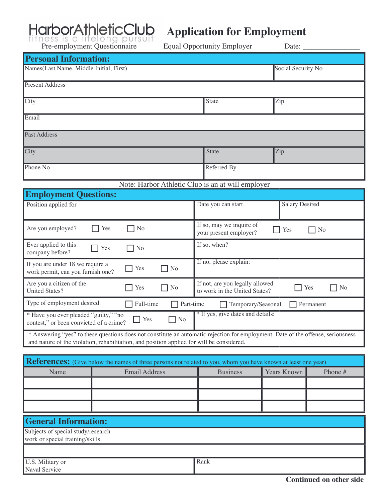# HarborAthleticClub

## **Application for Employment**

| Pre-employment Questionnaire<br><b>Equal Opportunity Employer</b><br>Date: $\overline{\phantom{a}}$                                                                                                                           |                                                                                                      |                    |                        |  |
|-------------------------------------------------------------------------------------------------------------------------------------------------------------------------------------------------------------------------------|------------------------------------------------------------------------------------------------------|--------------------|------------------------|--|
| <b>Personal Information:</b>                                                                                                                                                                                                  |                                                                                                      |                    |                        |  |
| Names(Last Name, Middle Initial, First)                                                                                                                                                                                       |                                                                                                      | Social Security No |                        |  |
| <b>Present Address</b>                                                                                                                                                                                                        |                                                                                                      |                    |                        |  |
| City                                                                                                                                                                                                                          |                                                                                                      | <b>State</b>       | Zip                    |  |
| Email                                                                                                                                                                                                                         |                                                                                                      |                    |                        |  |
| <b>Past Address</b>                                                                                                                                                                                                           |                                                                                                      |                    |                        |  |
| City                                                                                                                                                                                                                          |                                                                                                      | <b>State</b>       | Zip                    |  |
| Phone No                                                                                                                                                                                                                      |                                                                                                      | Referred By        |                        |  |
|                                                                                                                                                                                                                               | Note: Harbor Athletic Club is an at will employer                                                    |                    |                        |  |
| <b>Employment Questions:</b>                                                                                                                                                                                                  |                                                                                                      |                    |                        |  |
| Position applied for                                                                                                                                                                                                          |                                                                                                      | Date you can start | <b>Salary Desired</b>  |  |
| Are you employed?                                                                                                                                                                                                             | If so, may we inquire of<br>N <sub>o</sub><br>Yes<br>Yes<br>N <sub>o</sub><br>your present employer? |                    |                        |  |
| Ever applied to this<br>company before?                                                                                                                                                                                       | If so, when?<br>Yes<br>N <sub>o</sub>                                                                |                    |                        |  |
| If no, please explain:<br>If you are under 18 we require a<br>Yes<br>N <sub>o</sub><br>work permit, can you furnish one?                                                                                                      |                                                                                                      |                    |                        |  |
| Are you a citizen of the<br>If not, are you legally allowed<br>Yes<br>N <sub>o</sub><br>Yes<br><b>United States?</b><br>to work in the United States?                                                                         |                                                                                                      |                    | N <sub>o</sub>         |  |
| Type of employment desired:<br>Full-time<br>Part-time<br>Permanent<br>Temporary/Seasonal                                                                                                                                      |                                                                                                      |                    |                        |  |
| * If yes, give dates and details:<br>* Have you ever pleaded "guilty," "no<br>N <sub>o</sub><br>Yes<br>contest," or been convicted of a crime?                                                                                |                                                                                                      |                    |                        |  |
| * Answering "yes" to these questions does not constitute an automatic rejection for employment. Date of the offense, seriousness<br>and nature of the violation, rehabilitation, and position applied for will be considered. |                                                                                                      |                    |                        |  |
| References: (Give below the names of three persons not related to you, whom you have known at least one year)                                                                                                                 |                                                                                                      |                    |                        |  |
|                                                                                                                                                                                                                               |                                                                                                      |                    |                        |  |
| Name                                                                                                                                                                                                                          | <b>Email Address</b>                                                                                 | <b>Business</b>    | Years Known<br>Phone # |  |
|                                                                                                                                                                                                                               |                                                                                                      |                    |                        |  |

| <b>General Information:</b>                                           |      |  |
|-----------------------------------------------------------------------|------|--|
| Subjects of special study/research<br>work or special training/skills |      |  |
|                                                                       |      |  |
| U.S. Military or<br>Naval Service                                     | Rank |  |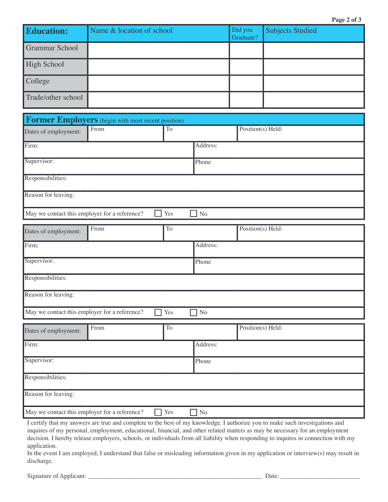| <b>Education:</b>     | Name & location of school | Did you<br>Graduate? | <b>Subjects Studied</b> |
|-----------------------|---------------------------|----------------------|-------------------------|
| <b>Grammar School</b> |                           |                      |                         |
| <b>High School</b>    |                           |                      |                         |
| College               |                           |                      |                         |
| Trade/other school    |                           |                      |                         |

| Former Employers (begin with most recent position)         |          |                |          |                   |  |
|------------------------------------------------------------|----------|----------------|----------|-------------------|--|
| Dates of employment:                                       | From     | To             |          | Position(s) Held: |  |
| Firm:                                                      |          |                | Address: |                   |  |
| Supervisor:                                                |          |                | Phone    |                   |  |
| Responsibilities:                                          |          |                |          |                   |  |
| Reason for leaving:                                        |          |                |          |                   |  |
| May we contact this employer for a reference?              |          | Yes            | No       |                   |  |
| Dates of employment:                                       | From     | T <sub>o</sub> |          | Position(s) Held: |  |
| Firm:                                                      | Address: |                |          |                   |  |
| Supervisor:<br>Phone                                       |          |                |          |                   |  |
| Responsibilities:                                          |          |                |          |                   |  |
| Reason for leaving:                                        |          |                |          |                   |  |
| May we contact this employer for a reference?<br>No<br>Yes |          |                |          |                   |  |

| Dates of employment:                          | From | To                  |                                            | Position(s) Held: |
|-----------------------------------------------|------|---------------------|--------------------------------------------|-------------------|
| Firm:                                         |      |                     | Address:                                   |                   |
| Supervisor:                                   |      |                     | Phone                                      |                   |
| Responsibilities:                             |      |                     |                                            |                   |
| Reason for leaving:                           |      |                     |                                            |                   |
| May we contact this employer for a reference? |      | Yes<br>$\mathbf{1}$ | N <sub>o</sub><br>$\overline{\phantom{a}}$ |                   |

I certify that my answers are true and complete to the best of my knowledge. I authorize you to make such investigations and inquires of my personal, employment, educational, financial, and other related matters as may be necessary for an employment decision. I hereby release employers, schools, or individuals from all liability when responding to inquires in connection with my application.

In the event I am employed, I understand that false or misleading information given in my application or interview(s) may result in discharge.

Signature of Applicant: